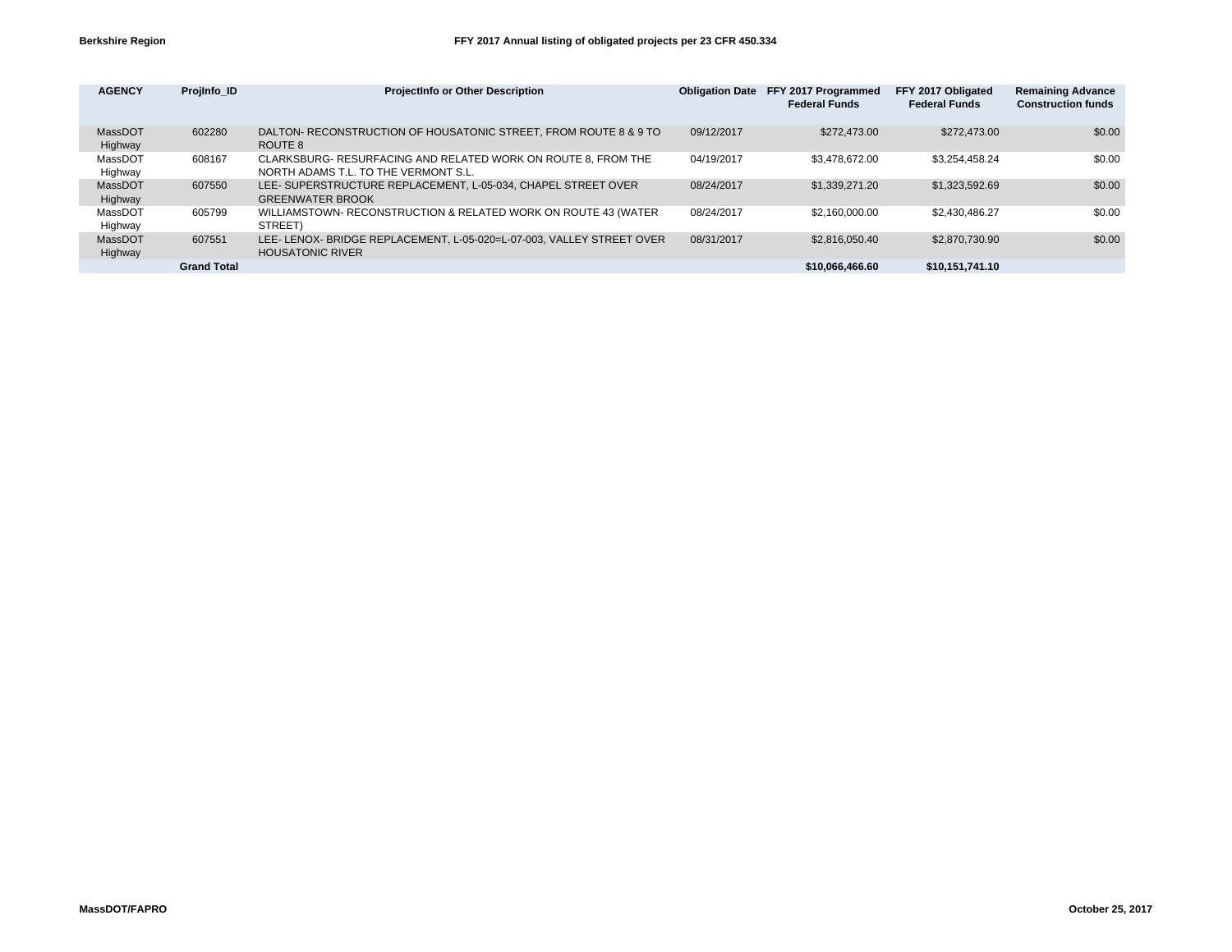| <b>AGENCY</b>      | Projinfo ID        | <b>ProjectInfo or Other Description</b>                                                               | <b>Obligation Date</b> | FFY 2017 Programmed<br><b>Federal Funds</b> | FFY 2017 Obligated<br><b>Federal Funds</b> | <b>Remaining Advance</b><br><b>Construction funds</b> |
|--------------------|--------------------|-------------------------------------------------------------------------------------------------------|------------------------|---------------------------------------------|--------------------------------------------|-------------------------------------------------------|
| MassDOT<br>Highway | 602280             | DALTON- RECONSTRUCTION OF HOUSATONIC STREET. FROM ROUTE 8 & 9 TO<br>ROUTE 8                           | 09/12/2017             | \$272,473,00                                | \$272,473,00                               | \$0.00                                                |
| MassDOT<br>Highway | 608167             | CLARKSBURG- RESURFACING AND RELATED WORK ON ROUTE 8, FROM THE<br>NORTH ADAMS T.L. TO THE VERMONT S.L. | 04/19/2017             | \$3.478.672.00                              | \$3,254,458.24                             | \$0.00                                                |
| MassDOT<br>Highway | 607550             | LEE- SUPERSTRUCTURE REPLACEMENT. L-05-034. CHAPEL STREET OVER<br><b>GREENWATER BROOK</b>              | 08/24/2017             | \$1,339,271.20                              | \$1,323,592.69                             | \$0.00                                                |
| MassDOT<br>Highway | 605799             | WILLIAMSTOWN- RECONSTRUCTION & RELATED WORK ON ROUTE 43 (WATER<br>STREET)                             | 08/24/2017             | \$2.160,000.00                              | \$2,430,486.27                             | \$0.00                                                |
| MassDOT<br>Highway | 607551             | LEE- LENOX- BRIDGE REPLACEMENT, L-05-020=L-07-003, VALLEY STREET OVER<br><b>HOUSATONIC RIVER</b>      | 08/31/2017             | \$2,816,050.40                              | \$2,870,730,90                             | \$0.00                                                |
|                    | <b>Grand Total</b> |                                                                                                       |                        | \$10,066,466,60                             | \$10.151.741.10                            |                                                       |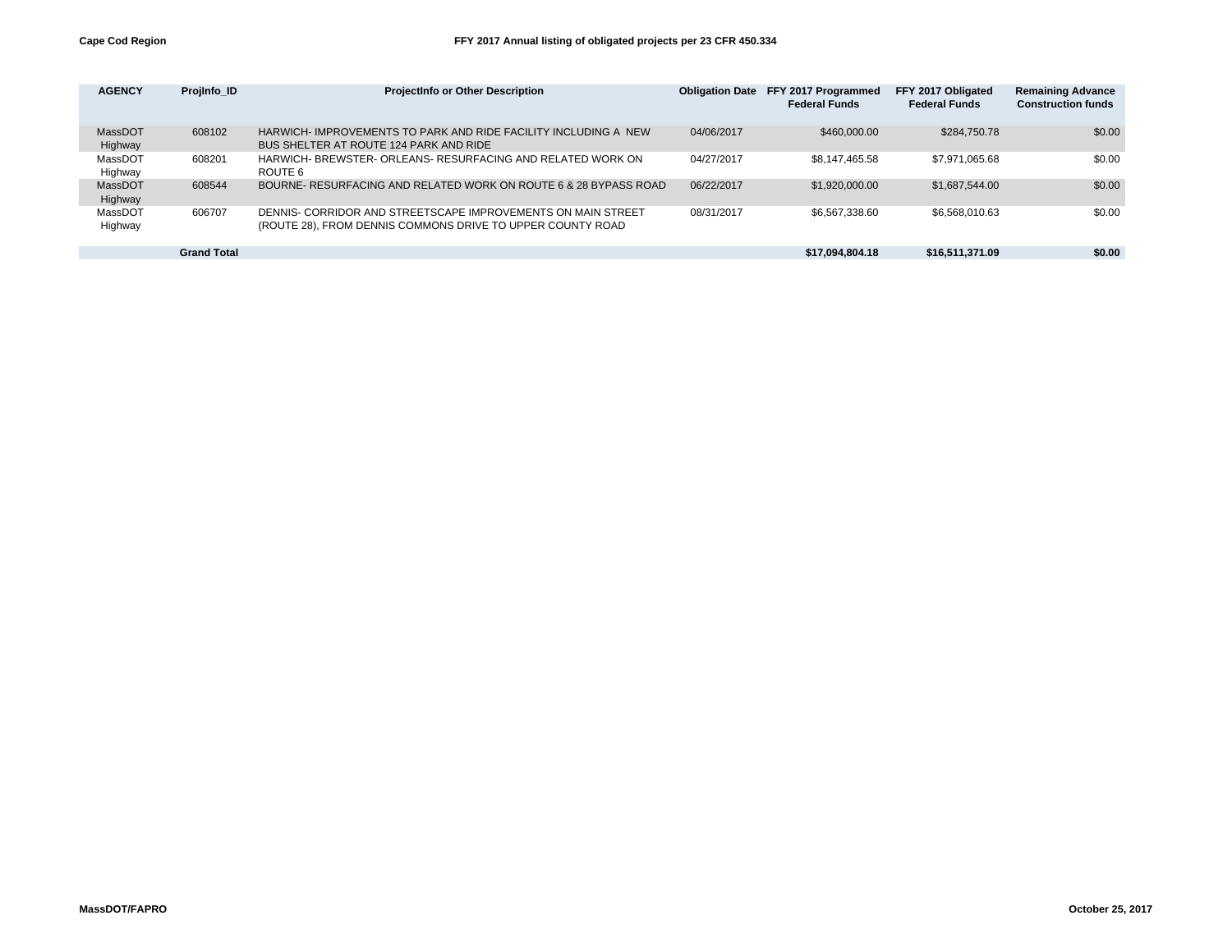| <b>AGENCY</b>      | Projinfo ID        | <b>ProjectInfo or Other Description</b>                                                                                    | <b>Obligation Date</b> | FFY 2017 Programmed<br><b>Federal Funds</b> | FFY 2017 Obligated<br><b>Federal Funds</b> | <b>Remaining Advance</b><br><b>Construction funds</b> |
|--------------------|--------------------|----------------------------------------------------------------------------------------------------------------------------|------------------------|---------------------------------------------|--------------------------------------------|-------------------------------------------------------|
| MassDOT<br>Highway | 608102             | HARWICH- IMPROVEMENTS TO PARK AND RIDE FACILITY INCLUDING A NEW<br>BUS SHELTER AT ROUTE 124 PARK AND RIDE                  | 04/06/2017             | \$460,000,00                                | \$284,750,78                               | \$0.00                                                |
| MassDOT<br>Highway | 608201             | HARWICH- BREWSTER- ORLEANS- RESURFACING AND RELATED WORK ON<br>ROUTE 6                                                     | 04/27/2017             | \$8,147,465.58                              | \$7,971,065.68                             | \$0.00                                                |
| MassDOT<br>Highway | 608544             | BOURNE- RESURFACING AND RELATED WORK ON ROUTE 6 & 28 BYPASS ROAD                                                           | 06/22/2017             | \$1,920,000,00                              | \$1,687,544,00                             | \$0.00                                                |
| MassDOT<br>Highway | 606707             | DENNIS- CORRIDOR AND STREETSCAPE IMPROVEMENTS ON MAIN STREET<br>(ROUTE 28), FROM DENNIS COMMONS DRIVE TO UPPER COUNTY ROAD | 08/31/2017             | \$6,567,338.60                              | \$6,568,010.63                             | \$0.00                                                |
|                    | <b>Grand Total</b> |                                                                                                                            |                        | \$17,094,804.18                             | \$16,511,371.09                            | \$0.00                                                |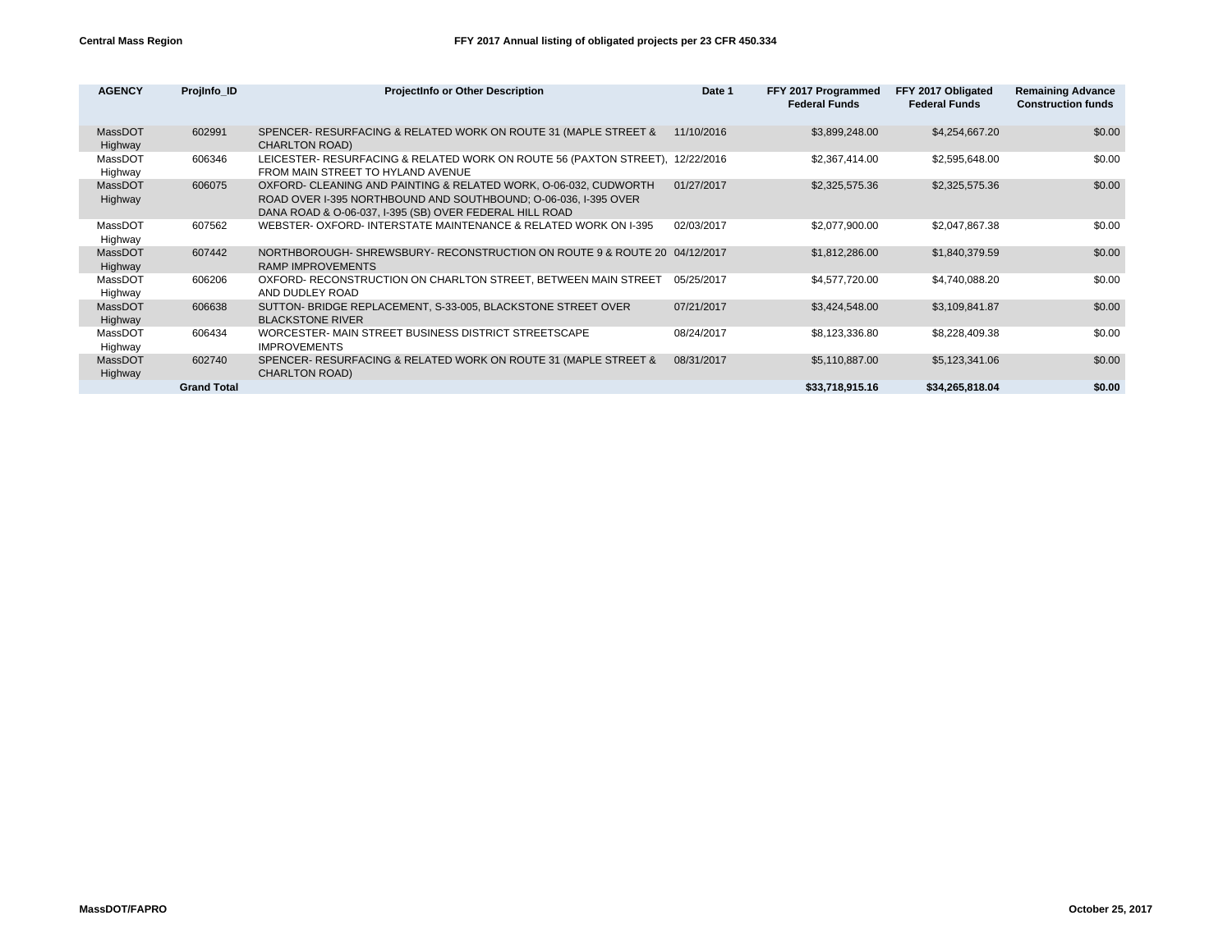| <b>AGENCY</b>      | Projinfo ID        | <b>ProjectInfo or Other Description</b>                                                                                                                                                        | Date 1     | FFY 2017 Programmed<br><b>Federal Funds</b> | FFY 2017 Obligated<br><b>Federal Funds</b> | <b>Remaining Advance</b><br><b>Construction funds</b> |
|--------------------|--------------------|------------------------------------------------------------------------------------------------------------------------------------------------------------------------------------------------|------------|---------------------------------------------|--------------------------------------------|-------------------------------------------------------|
| MassDOT<br>Highway | 602991             | SPENCER- RESURFACING & RELATED WORK ON ROUTE 31 (MAPLE STREET &<br><b>CHARLTON ROAD)</b>                                                                                                       | 11/10/2016 | \$3,899,248.00                              | \$4,254,667.20                             | \$0.00                                                |
| MassDOT<br>Highway | 606346             | LEICESTER- RESURFACING & RELATED WORK ON ROUTE 56 (PAXTON STREET), 12/22/2016<br>FROM MAIN STREET TO HYLAND AVENUE                                                                             |            | \$2,367,414.00                              | \$2,595,648.00                             | \$0.00                                                |
| MassDOT<br>Highway | 606075             | OXFORD- CLEANING AND PAINTING & RELATED WORK, O-06-032, CUDWORTH<br>ROAD OVER I-395 NORTHBOUND AND SOUTHBOUND; O-06-036, I-395 OVER<br>DANA ROAD & O-06-037, I-395 (SB) OVER FEDERAL HILL ROAD | 01/27/2017 | \$2,325,575.36                              | \$2,325,575.36                             | \$0.00                                                |
| MassDOT<br>Highway | 607562             | WEBSTER- OXFORD-INTERSTATE MAINTENANCE & RELATED WORK ON 1-395                                                                                                                                 | 02/03/2017 | \$2,077,900.00                              | \$2,047,867.38                             | \$0.00                                                |
| MassDOT<br>Highway | 607442             | NORTHBOROUGH-SHREWSBURY-RECONSTRUCTION ON ROUTE 9 & ROUTE 20 04/12/2017<br><b>RAMP IMPROVEMENTS</b>                                                                                            |            | \$1,812,286.00                              | \$1,840,379.59                             | \$0.00                                                |
| MassDOT<br>Highway | 606206             | OXFORD- RECONSTRUCTION ON CHARLTON STREET, BETWEEN MAIN STREET<br>AND DUDLEY ROAD                                                                                                              | 05/25/2017 | \$4,577,720.00                              | \$4,740,088.20                             | \$0.00                                                |
| MassDOT<br>Highway | 606638             | SUTTON- BRIDGE REPLACEMENT, S-33-005, BLACKSTONE STREET OVER<br><b>BLACKSTONE RIVER</b>                                                                                                        | 07/21/2017 | \$3,424,548.00                              | \$3,109,841.87                             | \$0.00                                                |
| MassDOT<br>Highway | 606434             | WORCESTER- MAIN STREET BUSINESS DISTRICT STREETSCAPE<br><b>IMPROVEMENTS</b>                                                                                                                    | 08/24/2017 | \$8,123,336.80                              | \$8,228,409.38                             | \$0.00                                                |
| MassDOT<br>Highway | 602740             | SPENCER- RESURFACING & RELATED WORK ON ROUTE 31 (MAPLE STREET &<br><b>CHARLTON ROAD)</b>                                                                                                       | 08/31/2017 | \$5,110,887.00                              | \$5,123,341.06                             | \$0.00                                                |
|                    | <b>Grand Total</b> |                                                                                                                                                                                                |            | \$33,718,915.16                             | \$34,265,818,04                            | \$0.00                                                |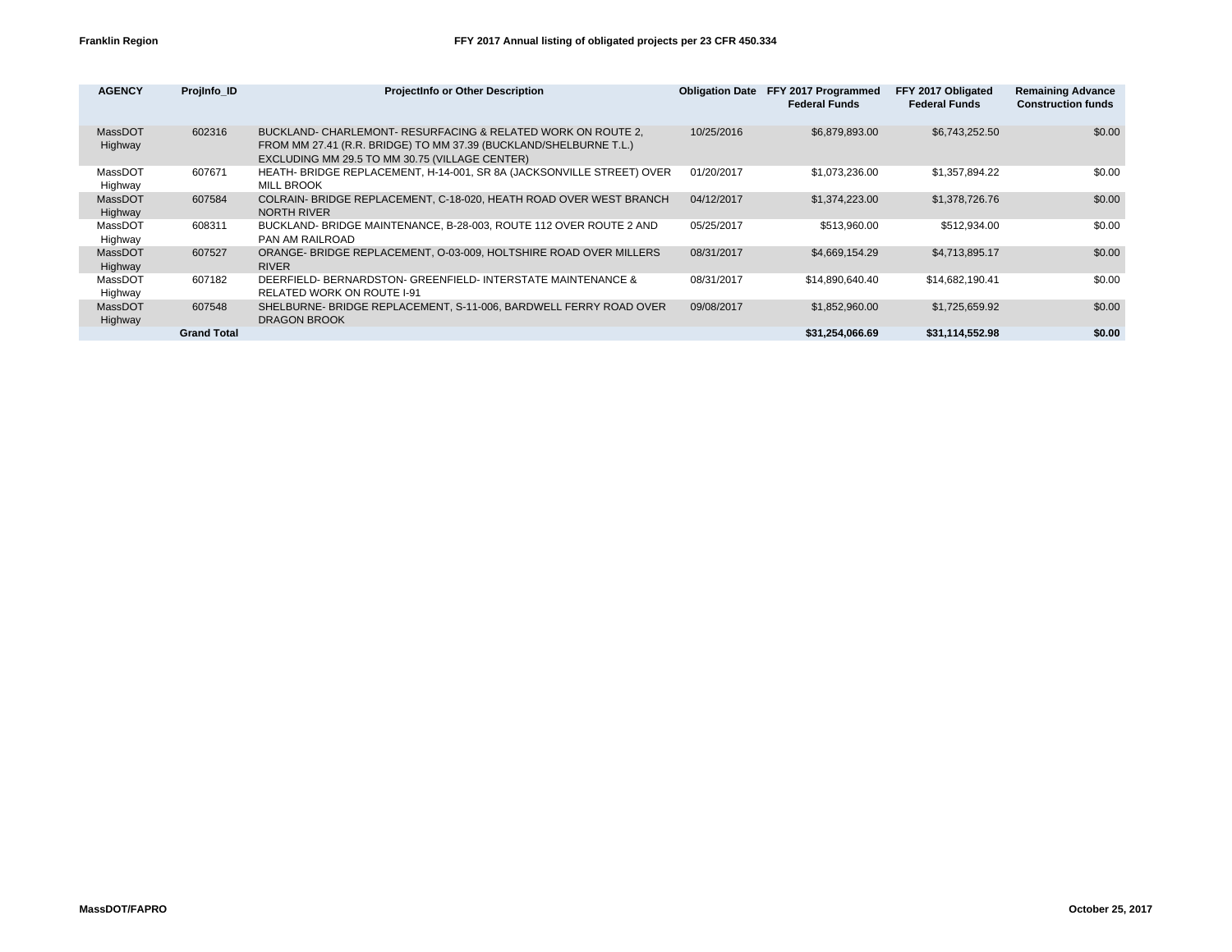| <b>AGENCY</b>      | Projinfo ID        | <b>ProjectInfo or Other Description</b>                                                                                                                                             | <b>Obligation Date</b> | FFY 2017 Programmed<br><b>Federal Funds</b> | FFY 2017 Obligated<br><b>Federal Funds</b> | <b>Remaining Advance</b><br><b>Construction funds</b> |
|--------------------|--------------------|-------------------------------------------------------------------------------------------------------------------------------------------------------------------------------------|------------------------|---------------------------------------------|--------------------------------------------|-------------------------------------------------------|
| MassDOT<br>Highway | 602316             | BUCKLAND- CHARLEMONT- RESURFACING & RELATED WORK ON ROUTE 2,<br>FROM MM 27.41 (R.R. BRIDGE) TO MM 37.39 (BUCKLAND/SHELBURNE T.L.)<br>EXCLUDING MM 29.5 TO MM 30.75 (VILLAGE CENTER) | 10/25/2016             | \$6,879,893.00                              | \$6,743,252.50                             | \$0.00                                                |
| MassDOT<br>Highway | 607671             | HEATH- BRIDGE REPLACEMENT, H-14-001, SR 8A (JACKSONVILLE STREET) OVER<br><b>MILL BROOK</b>                                                                                          | 01/20/2017             | \$1,073,236.00                              | \$1,357,894.22                             | \$0.00                                                |
| MassDOT<br>Highway | 607584             | COLRAIN- BRIDGE REPLACEMENT, C-18-020, HEATH ROAD OVER WEST BRANCH<br><b>NORTH RIVER</b>                                                                                            | 04/12/2017             | \$1,374,223.00                              | \$1,378,726.76                             | \$0.00                                                |
| MassDOT<br>Highway | 608311             | BUCKLAND- BRIDGE MAINTENANCE, B-28-003, ROUTE 112 OVER ROUTE 2 AND<br>PAN AM RAILROAD                                                                                               | 05/25/2017             | \$513.960.00                                | \$512,934.00                               | \$0.00                                                |
| MassDOT<br>Highway | 607527             | ORANGE- BRIDGE REPLACEMENT, O-03-009, HOLTSHIRE ROAD OVER MILLERS<br><b>RIVER</b>                                                                                                   | 08/31/2017             | \$4,669,154.29                              | \$4,713,895.17                             | \$0.00                                                |
| MassDOT<br>Highway | 607182             | DEERFIELD- BERNARDSTON- GREENFIELD- INTERSTATE MAINTENANCE &<br><b>RELATED WORK ON ROUTE I-91</b>                                                                                   | 08/31/2017             | \$14,890,640.40                             | \$14,682,190.41                            | \$0.00                                                |
| MassDOT<br>Highway | 607548             | SHELBURNE- BRIDGE REPLACEMENT, S-11-006, BARDWELL FERRY ROAD OVER<br><b>DRAGON BROOK</b>                                                                                            | 09/08/2017             | \$1,852,960.00                              | \$1,725,659.92                             | \$0.00                                                |
|                    | <b>Grand Total</b> |                                                                                                                                                                                     |                        | \$31,254,066.69                             | \$31,114,552.98                            | \$0.00                                                |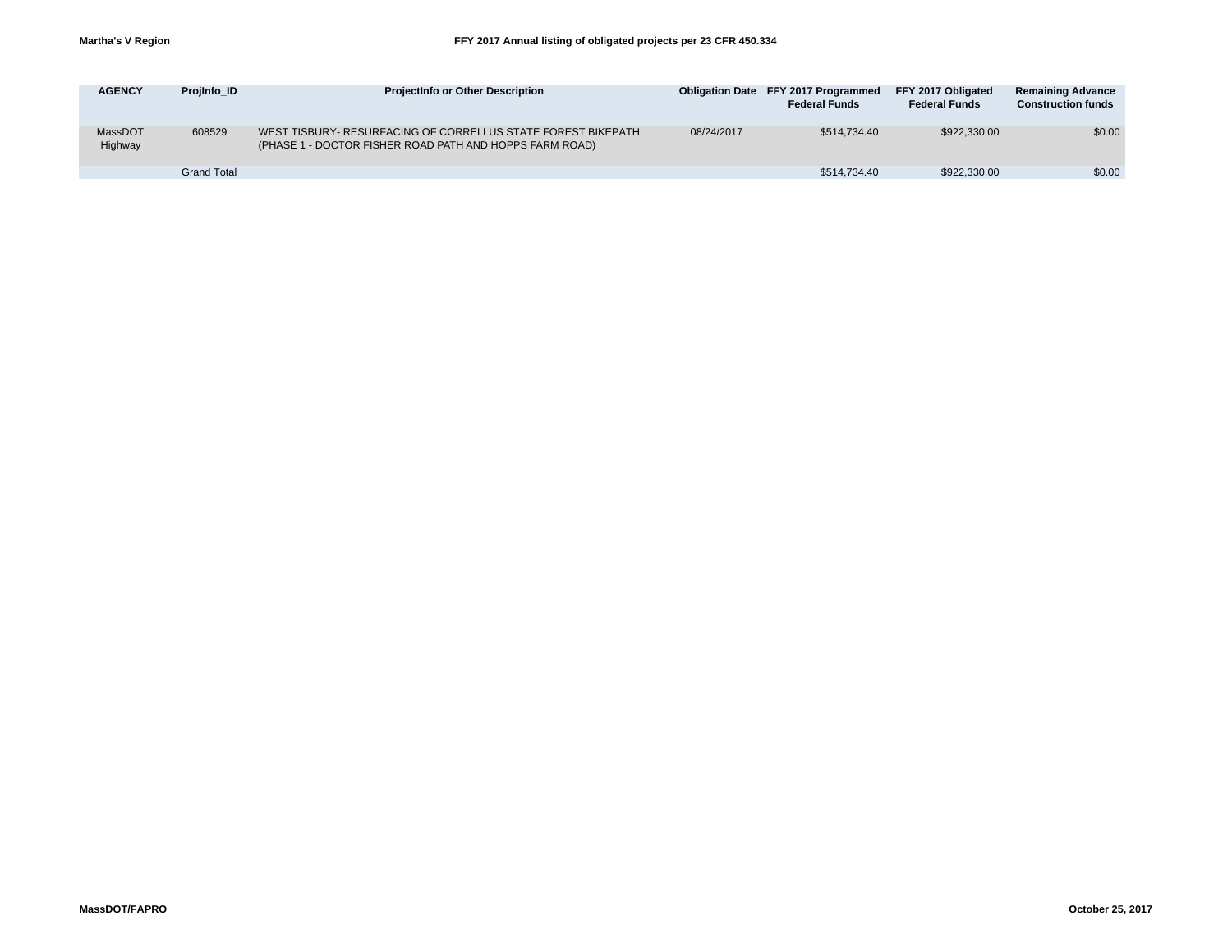| <b>AGENCY</b>      | Projinfo ID        | <b>Projectinfo or Other Description</b>                                                                                 |            | <b>Obligation Date FFY 2017 Programmed</b><br><b>Federal Funds</b> | FFY 2017 Obligated<br><b>Federal Funds</b> | <b>Remaining Advance</b><br><b>Construction funds</b> |
|--------------------|--------------------|-------------------------------------------------------------------------------------------------------------------------|------------|--------------------------------------------------------------------|--------------------------------------------|-------------------------------------------------------|
| MassDOT<br>Highway | 608529             | WEST TISBURY- RESURFACING OF CORRELLUS STATE FOREST BIKEPATH<br>(PHASE 1 - DOCTOR FISHER ROAD PATH AND HOPPS FARM ROAD) | 08/24/2017 | \$514,734,40                                                       | \$922,330,00                               | \$0.00                                                |
|                    | <b>Grand Total</b> |                                                                                                                         |            | \$514,734.40                                                       | \$922,330,00                               | \$0.00                                                |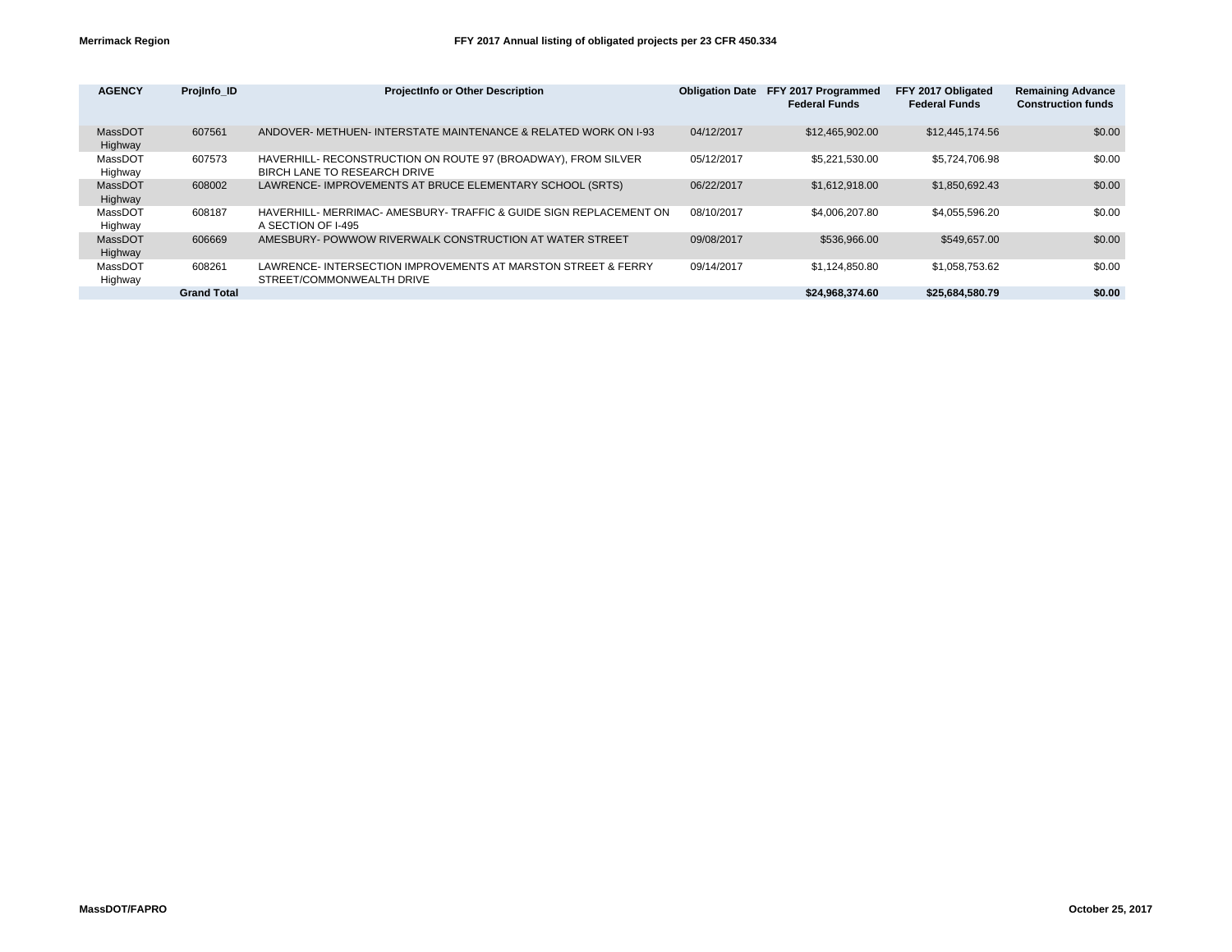| <b>AGENCY</b>      | Projinfo ID        | <b>ProjectInfo or Other Description</b>                                                       | <b>Obligation Date</b> | FFY 2017 Programmed<br><b>Federal Funds</b> | FFY 2017 Obligated<br><b>Federal Funds</b> | <b>Remaining Advance</b><br><b>Construction funds</b> |
|--------------------|--------------------|-----------------------------------------------------------------------------------------------|------------------------|---------------------------------------------|--------------------------------------------|-------------------------------------------------------|
| MassDOT<br>Highway | 607561             | ANDOVER- METHUEN- INTERSTATE MAINTENANCE & RELATED WORK ON 1-93                               | 04/12/2017             | \$12.465.902.00                             | \$12,445,174.56                            | \$0.00                                                |
| MassDOT<br>Highway | 607573             | HAVERHILL- RECONSTRUCTION ON ROUTE 97 (BROADWAY), FROM SILVER<br>BIRCH LANE TO RESEARCH DRIVE | 05/12/2017             | \$5.221.530.00                              | \$5.724.706.98                             | \$0.00                                                |
| MassDOT<br>Highway | 608002             | LAWRENCE- IMPROVEMENTS AT BRUCE ELEMENTARY SCHOOL (SRTS)                                      | 06/22/2017             | \$1.612.918.00                              | \$1.850.692.43                             | \$0.00                                                |
| MassDOT<br>Highway | 608187             | HAVERHILL- MERRIMAC- AMESBURY- TRAFFIC & GUIDE SIGN REPLACEMENT ON<br>A SECTION OF I-495      | 08/10/2017             | \$4,006,207.80                              | \$4.055.596.20                             | \$0.00                                                |
| MassDOT<br>Highway | 606669             | AMESBURY- POWWOW RIVERWALK CONSTRUCTION AT WATER STREET                                       | 09/08/2017             | \$536,966,00                                | \$549,657,00                               | \$0.00                                                |
| MassDOT<br>Highway | 608261             | LAWRENCE-INTERSECTION IMPROVEMENTS AT MARSTON STREET & FERRY<br>STREET/COMMONWEALTH DRIVE     | 09/14/2017             | \$1.124.850.80                              | \$1.058.753.62                             | \$0.00                                                |
|                    | <b>Grand Total</b> |                                                                                               |                        | \$24.968.374.60                             | \$25,684,580.79                            | \$0.00                                                |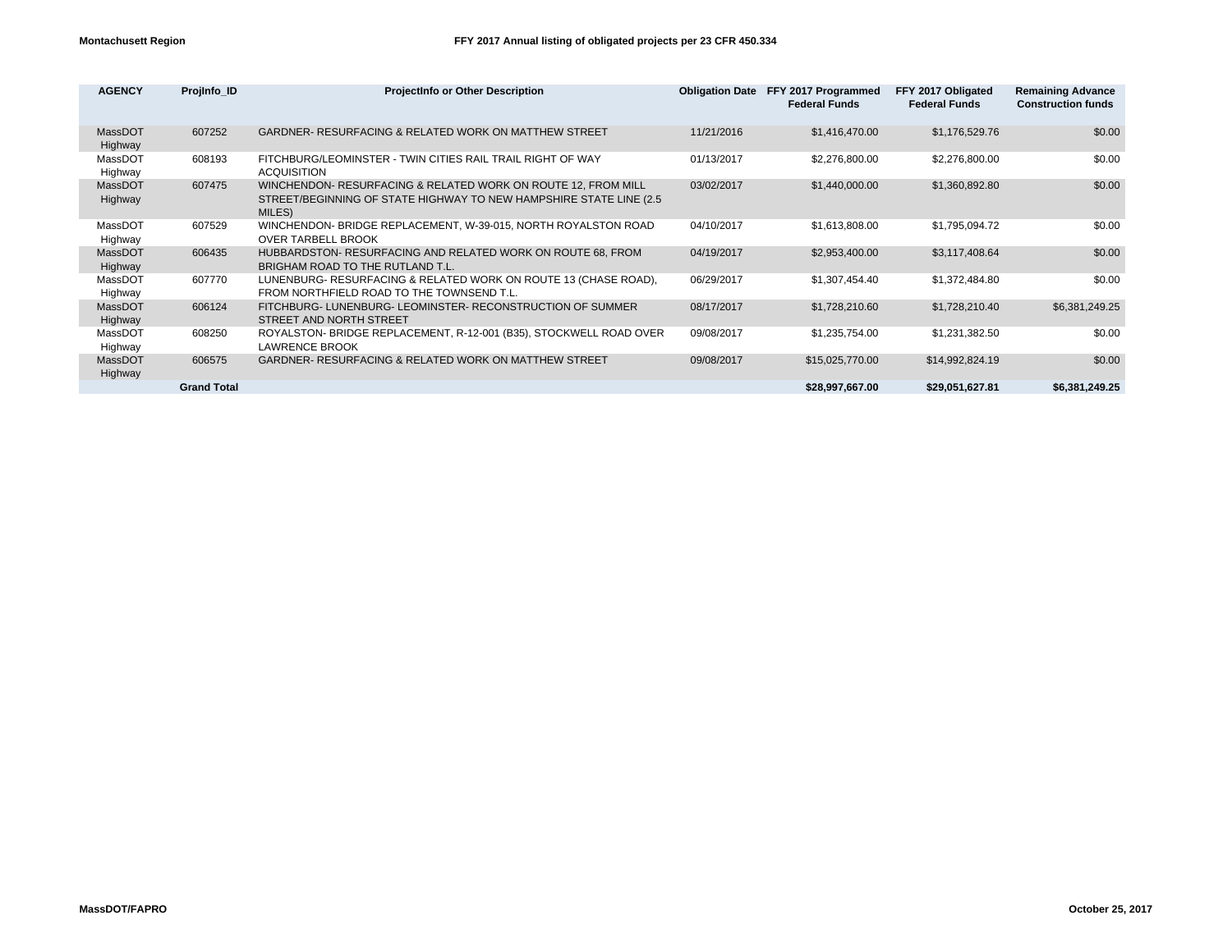| <b>AGENCY</b>      | Projinfo ID        | <b>ProjectInfo or Other Description</b>                                                                                                        |            | Obligation Date FFY 2017 Programmed<br><b>Federal Funds</b> | FFY 2017 Obligated<br><b>Federal Funds</b> | <b>Remaining Advance</b><br><b>Construction funds</b> |
|--------------------|--------------------|------------------------------------------------------------------------------------------------------------------------------------------------|------------|-------------------------------------------------------------|--------------------------------------------|-------------------------------------------------------|
| MassDOT<br>Highway | 607252             | <b>GARDNER- RESURFACING &amp; RELATED WORK ON MATTHEW STREET</b>                                                                               | 11/21/2016 | \$1,416,470.00                                              | \$1,176,529.76                             | \$0.00                                                |
| MassDOT<br>Highway | 608193             | FITCHBURG/LEOMINSTER - TWIN CITIES RAIL TRAIL RIGHT OF WAY<br><b>ACQUISITION</b>                                                               | 01/13/2017 | \$2,276,800.00                                              | \$2,276,800.00                             | \$0.00                                                |
| MassDOT<br>Highway | 607475             | WINCHENDON- RESURFACING & RELATED WORK ON ROUTE 12, FROM MILL<br>STREET/BEGINNING OF STATE HIGHWAY TO NEW HAMPSHIRE STATE LINE (2.5)<br>MILES) | 03/02/2017 | \$1,440,000.00                                              | \$1,360,892.80                             | \$0.00                                                |
| MassDOT<br>Highway | 607529             | WINCHENDON- BRIDGE REPLACEMENT, W-39-015, NORTH ROYALSTON ROAD<br><b>OVER TARBELL BROOK</b>                                                    | 04/10/2017 | \$1,613,808.00                                              | \$1,795,094.72                             | \$0.00                                                |
| MassDOT<br>Highway | 606435             | HUBBARDSTON-RESURFACING AND RELATED WORK ON ROUTE 68, FROM<br>BRIGHAM ROAD TO THE RUTLAND T.L.                                                 | 04/19/2017 | \$2,953,400.00                                              | \$3,117,408.64                             | \$0.00                                                |
| MassDOT<br>Highway | 607770             | LUNENBURG- RESURFACING & RELATED WORK ON ROUTE 13 (CHASE ROAD),<br>FROM NORTHFIELD ROAD TO THE TOWNSEND T.L.                                   | 06/29/2017 | \$1,307,454.40                                              | \$1,372,484.80                             | \$0.00                                                |
| MassDOT<br>Highway | 606124             | FITCHBURG- LUNENBURG- LEOMINSTER- RECONSTRUCTION OF SUMMER<br>STREET AND NORTH STREET                                                          | 08/17/2017 | \$1,728,210.60                                              | \$1,728,210.40                             | \$6,381,249.25                                        |
| MassDOT<br>Highway | 608250             | ROYALSTON- BRIDGE REPLACEMENT, R-12-001 (B35), STOCKWELL ROAD OVER<br><b>LAWRENCE BROOK</b>                                                    | 09/08/2017 | \$1,235,754.00                                              | \$1,231,382.50                             | \$0.00                                                |
| MassDOT<br>Highway | 606575             | <b>GARDNER- RESURFACING &amp; RELATED WORK ON MATTHEW STREET</b>                                                                               | 09/08/2017 | \$15,025,770.00                                             | \$14,992,824.19                            | \$0.00                                                |
|                    | <b>Grand Total</b> |                                                                                                                                                |            | \$28.997.667.00                                             | \$29.051.627.81                            | \$6.381.249.25                                        |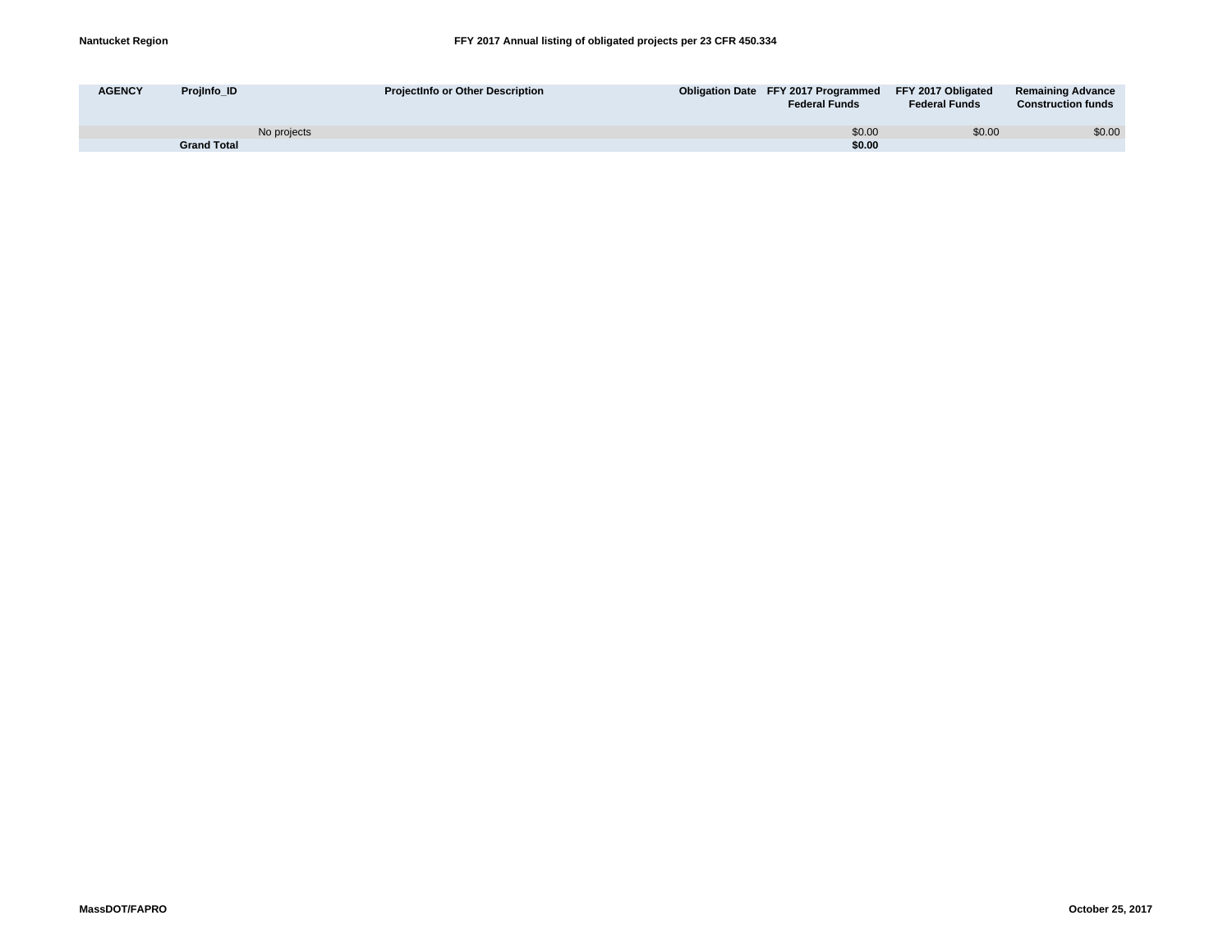| <b>AGENCY</b><br><b>Proilnfo ID</b> | <b>Projectinfo or Other Description</b> | Obligation Date FFY 2017 Programmed FFY 2017 Obligated<br><b>Federal Funds</b> | <b>Federal Funds</b> | <b>Remaining Advance</b><br><b>Construction funds</b> |
|-------------------------------------|-----------------------------------------|--------------------------------------------------------------------------------|----------------------|-------------------------------------------------------|
| No projects                         |                                         | \$0.00                                                                         | \$0.00               | \$0.00                                                |
| <b>Grand Total</b>                  |                                         | \$0.00                                                                         |                      |                                                       |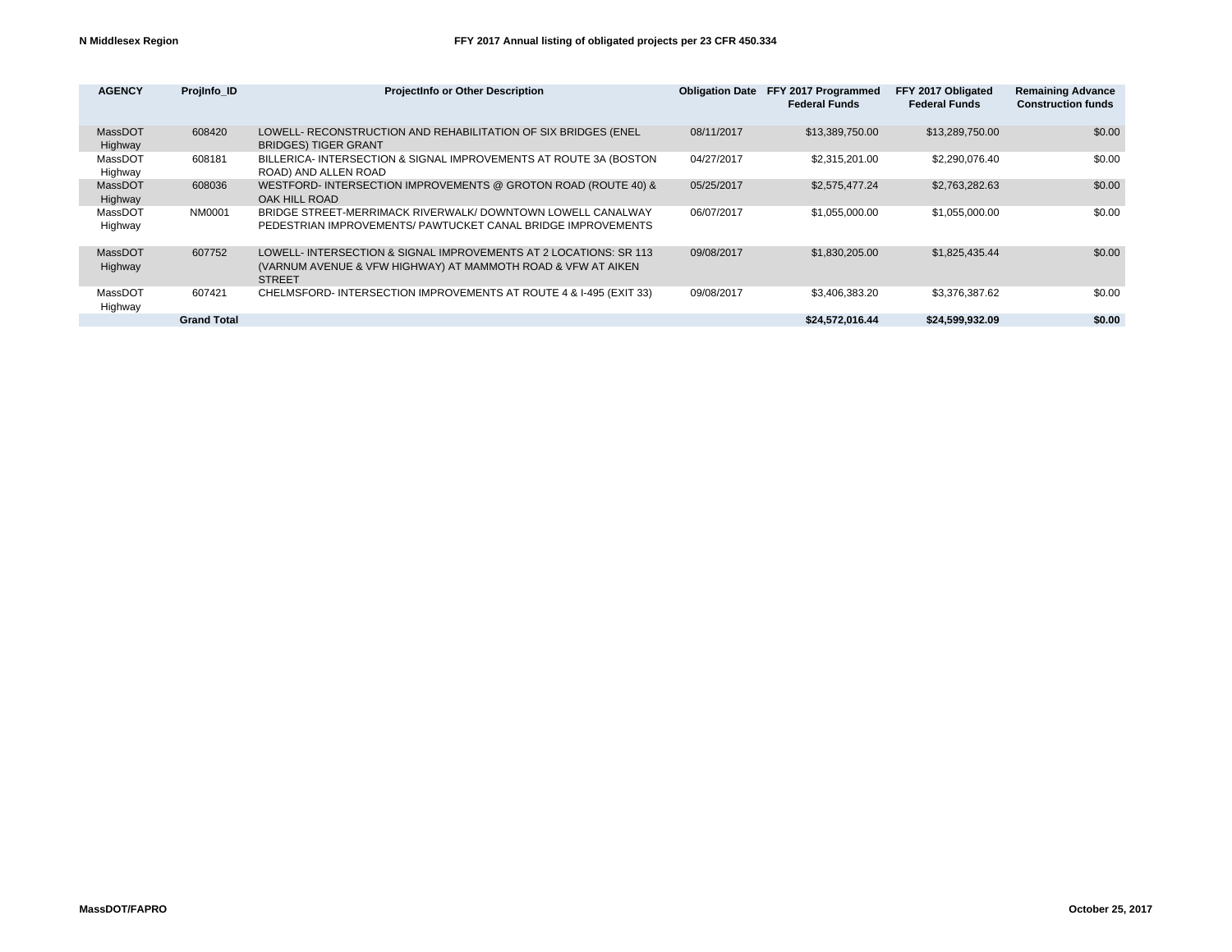| <b>AGENCY</b>      | Projinfo ID        | <b>ProjectInfo or Other Description</b>                                                                                                           | <b>Obligation Date</b> | FFY 2017 Programmed<br><b>Federal Funds</b> | FFY 2017 Obligated<br><b>Federal Funds</b> | <b>Remaining Advance</b><br><b>Construction funds</b> |
|--------------------|--------------------|---------------------------------------------------------------------------------------------------------------------------------------------------|------------------------|---------------------------------------------|--------------------------------------------|-------------------------------------------------------|
| MassDOT<br>Highway | 608420             | LOWELL- RECONSTRUCTION AND REHABILITATION OF SIX BRIDGES (ENEL<br><b>BRIDGES) TIGER GRANT</b>                                                     | 08/11/2017             | \$13,389,750.00                             | \$13,289,750.00                            | \$0.00                                                |
| MassDOT<br>Highway | 608181             | BILLERICA- INTERSECTION & SIGNAL IMPROVEMENTS AT ROUTE 3A (BOSTON<br>ROAD) AND ALLEN ROAD                                                         | 04/27/2017             | \$2,315,201.00                              | \$2,290,076.40                             | \$0.00                                                |
| MassDOT<br>Highway | 608036             | WESTFORD-INTERSECTION IMPROVEMENTS @ GROTON ROAD (ROUTE 40) &<br>OAK HILL ROAD                                                                    | 05/25/2017             | \$2,575,477,24                              | \$2,763,282.63                             | \$0.00                                                |
| MassDOT<br>Highway | NM0001             | BRIDGE STREET-MERRIMACK RIVERWALK/ DOWNTOWN LOWELL CANALWAY<br>PEDESTRIAN IMPROVEMENTS/ PAWTUCKET CANAL BRIDGE IMPROVEMENTS                       | 06/07/2017             | \$1,055,000.00                              | \$1,055,000.00                             | \$0.00                                                |
| MassDOT<br>Highway | 607752             | LOWELL-INTERSECTION & SIGNAL IMPROVEMENTS AT 2 LOCATIONS: SR 113<br>(VARNUM AVENUE & VFW HIGHWAY) AT MAMMOTH ROAD & VFW AT AIKEN<br><b>STREET</b> | 09/08/2017             | \$1,830,205.00                              | \$1,825,435.44                             | \$0.00                                                |
| MassDOT<br>Highway | 607421             | CHELMSFORD-INTERSECTION IMPROVEMENTS AT ROUTE 4 & I-495 (EXIT 33)                                                                                 | 09/08/2017             | \$3,406,383.20                              | \$3,376,387.62                             | \$0.00                                                |
|                    | <b>Grand Total</b> |                                                                                                                                                   |                        | \$24,572,016.44                             | \$24,599,932.09                            | \$0.00                                                |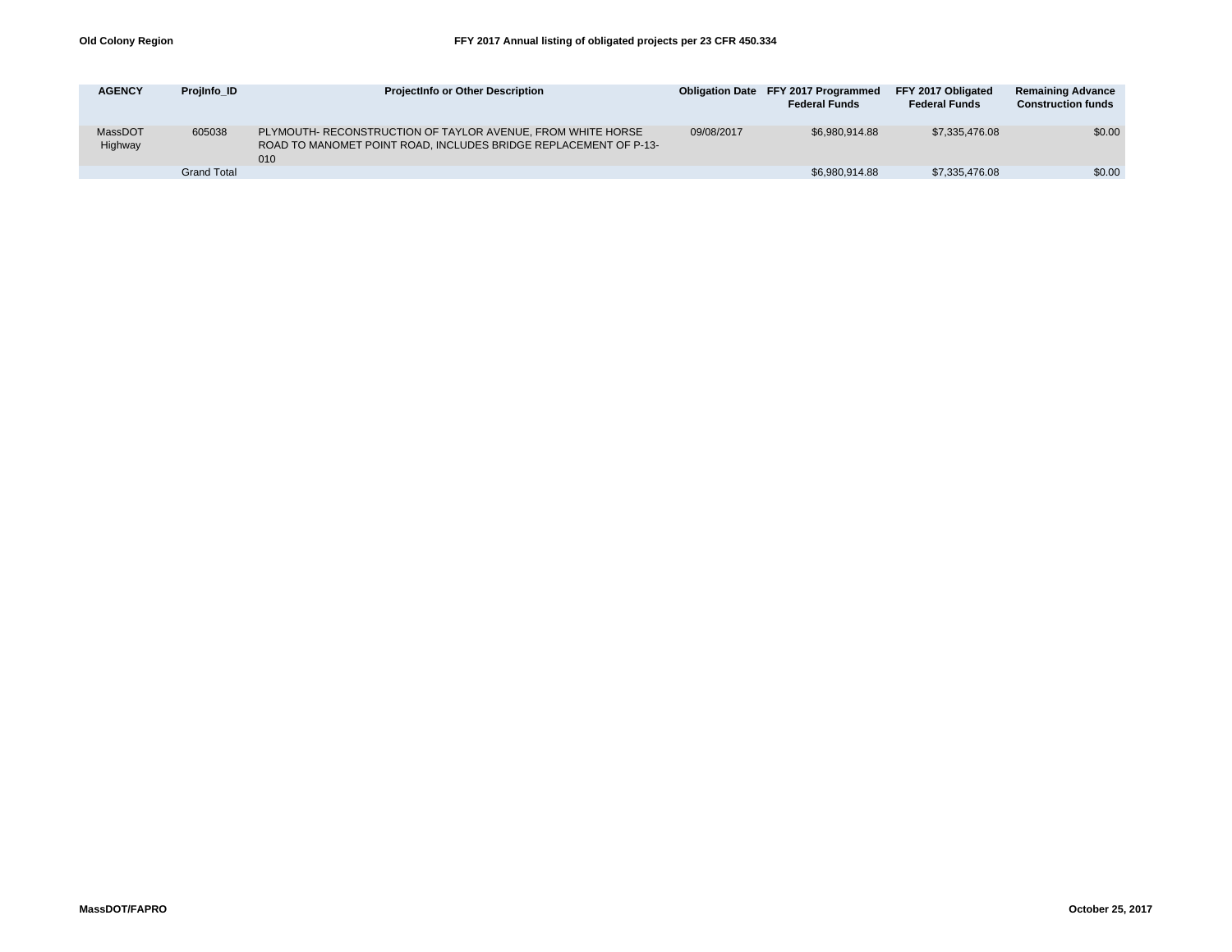| <b>AGENCY</b>      | Projinfo ID        | <b>ProjectInfo or Other Description</b>                                                                                                |            | <b>Obligation Date FFY 2017 Programmed</b><br><b>Federal Funds</b> | FFY 2017 Obligated<br><b>Federal Funds</b> | <b>Remaining Advance</b><br><b>Construction funds</b> |
|--------------------|--------------------|----------------------------------------------------------------------------------------------------------------------------------------|------------|--------------------------------------------------------------------|--------------------------------------------|-------------------------------------------------------|
| MassDOT<br>Highway | 605038             | PLYMOUTH- RECONSTRUCTION OF TAYLOR AVENUE, FROM WHITE HORSE<br>ROAD TO MANOMET POINT ROAD, INCLUDES BRIDGE REPLACEMENT OF P-13-<br>010 | 09/08/2017 | \$6.980.914.88                                                     | \$7.335.476.08                             | \$0.00                                                |
|                    | <b>Grand Total</b> |                                                                                                                                        |            | \$6,980,914.88                                                     | \$7,335,476.08                             | \$0.00                                                |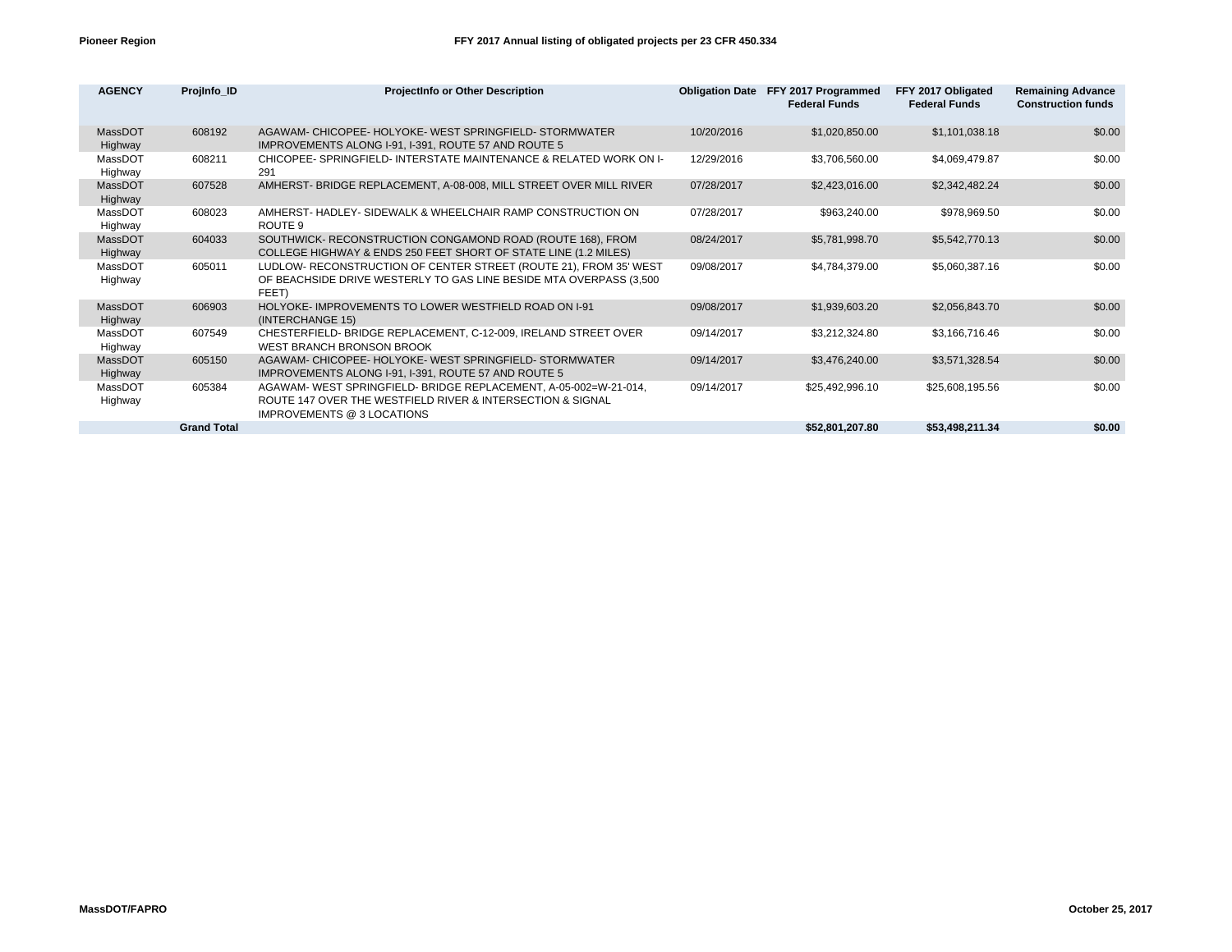| <b>AGENCY</b>      | Projinfo ID        | <b>ProjectInfo or Other Description</b>                                                                                                                      |            | Obligation Date FFY 2017 Programmed<br><b>Federal Funds</b> | FFY 2017 Obligated<br><b>Federal Funds</b> | <b>Remaining Advance</b><br><b>Construction funds</b> |
|--------------------|--------------------|--------------------------------------------------------------------------------------------------------------------------------------------------------------|------------|-------------------------------------------------------------|--------------------------------------------|-------------------------------------------------------|
| MassDOT<br>Highway | 608192             | AGAWAM- CHICOPEE- HOLYOKE- WEST SPRINGFIELD- STORMWATER<br>IMPROVEMENTS ALONG I-91, I-391, ROUTE 57 AND ROUTE 5                                              | 10/20/2016 | \$1,020,850.00                                              | \$1,101,038.18                             | \$0.00                                                |
| MassDOT<br>Highway | 608211             | CHICOPEE- SPRINGFIELD- INTERSTATE MAINTENANCE & RELATED WORK ON I-<br>291                                                                                    | 12/29/2016 | \$3,706,560.00                                              | \$4,069,479.87                             | \$0.00                                                |
| MassDOT<br>Highway | 607528             | AMHERST- BRIDGE REPLACEMENT, A-08-008, MILL STREET OVER MILL RIVER                                                                                           | 07/28/2017 | \$2,423,016.00                                              | \$2,342,482.24                             | \$0.00                                                |
| MassDOT<br>Highway | 608023             | AMHERST- HADLEY- SIDEWALK & WHEELCHAIR RAMP CONSTRUCTION ON<br>ROUTE 9                                                                                       | 07/28/2017 | \$963,240.00                                                | \$978,969.50                               | \$0.00                                                |
| MassDOT<br>Highway | 604033             | SOUTHWICK- RECONSTRUCTION CONGAMOND ROAD (ROUTE 168), FROM<br>COLLEGE HIGHWAY & ENDS 250 FEET SHORT OF STATE LINE (1.2 MILES)                                | 08/24/2017 | \$5,781,998.70                                              | \$5,542,770.13                             | \$0.00                                                |
| MassDOT<br>Highway | 605011             | LUDLOW- RECONSTRUCTION OF CENTER STREET (ROUTE 21), FROM 35' WEST<br>OF BEACHSIDE DRIVE WESTERLY TO GAS LINE BESIDE MTA OVERPASS (3,500)<br>FEET)            | 09/08/2017 | \$4,784,379.00                                              | \$5,060,387.16                             | \$0.00                                                |
| MassDOT<br>Highway | 606903             | HOLYOKE- IMPROVEMENTS TO LOWER WESTFIELD ROAD ON I-91<br>(INTERCHANGE 15)                                                                                    | 09/08/2017 | \$1,939,603.20                                              | \$2,056,843.70                             | \$0.00                                                |
| MassDOT<br>Highway | 607549             | CHESTERFIELD- BRIDGE REPLACEMENT, C-12-009, IRELAND STREET OVER<br><b>WEST BRANCH BRONSON BROOK</b>                                                          | 09/14/2017 | \$3,212,324.80                                              | \$3,166,716.46                             | \$0.00                                                |
| MassDOT<br>Highway | 605150             | AGAWAM- CHICOPEE- HOLYOKE- WEST SPRINGFIELD- STORMWATER<br>IMPROVEMENTS ALONG I-91, I-391, ROUTE 57 AND ROUTE 5                                              | 09/14/2017 | \$3,476,240.00                                              | \$3,571,328.54                             | \$0.00                                                |
| MassDOT<br>Highway | 605384             | AGAWAM- WEST SPRINGFIELD- BRIDGE REPLACEMENT, A-05-002=W-21-014,<br>ROUTE 147 OVER THE WESTFIELD RIVER & INTERSECTION & SIGNAL<br>IMPROVEMENTS @ 3 LOCATIONS | 09/14/2017 | \$25,492,996.10                                             | \$25,608,195.56                            | \$0.00                                                |
|                    | <b>Grand Total</b> |                                                                                                                                                              |            | \$52,801,207.80                                             | \$53,498,211.34                            | \$0.00                                                |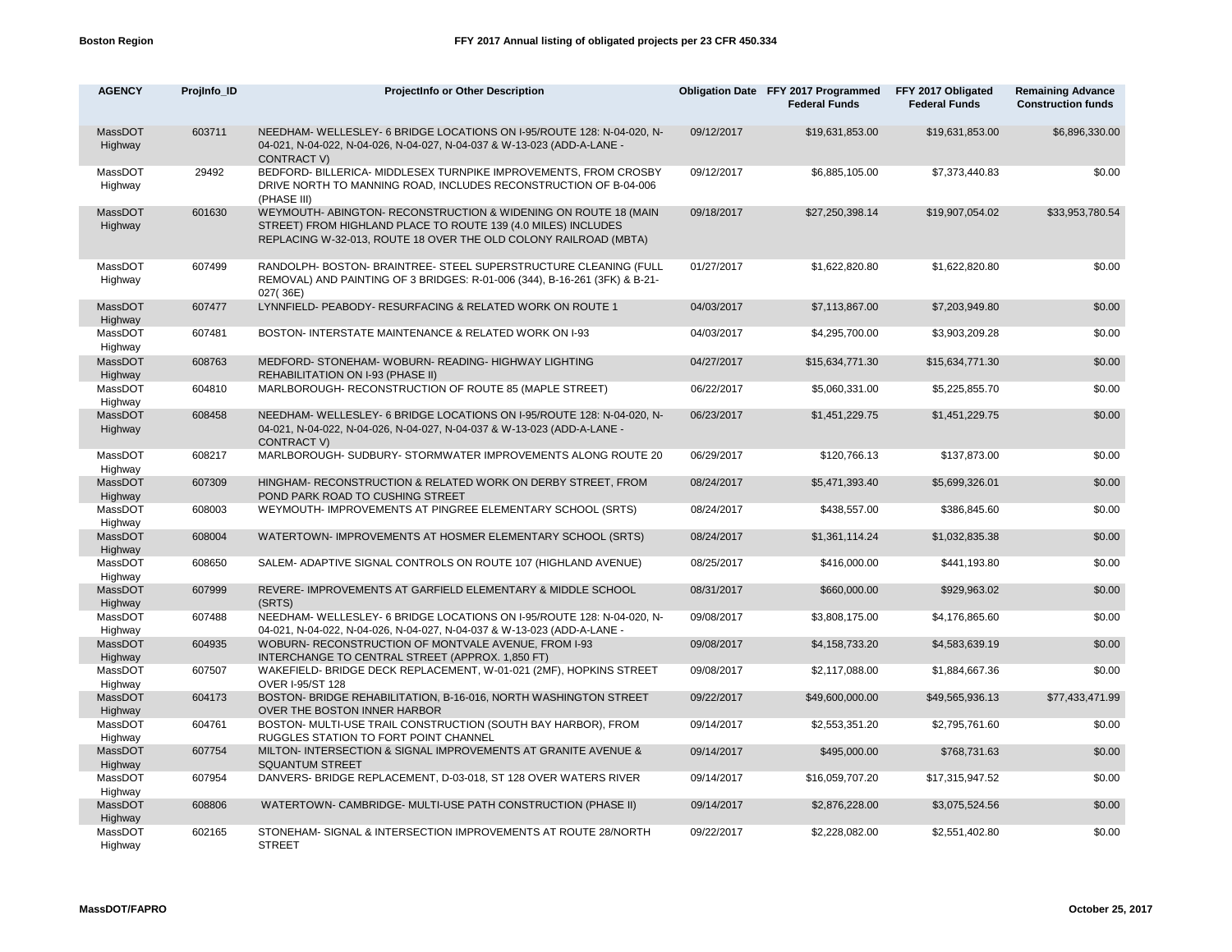| <b>AGENCY</b>      | Projinfo_ID | ProjectInfo or Other Description                                                                                                                                                                   |            | Obligation Date FFY 2017 Programmed<br><b>Federal Funds</b> | FFY 2017 Obligated<br><b>Federal Funds</b> | <b>Remaining Advance</b><br><b>Construction funds</b> |
|--------------------|-------------|----------------------------------------------------------------------------------------------------------------------------------------------------------------------------------------------------|------------|-------------------------------------------------------------|--------------------------------------------|-------------------------------------------------------|
| MassDOT<br>Highway | 603711      | NEEDHAM-WELLESLEY- 6 BRIDGE LOCATIONS ON I-95/ROUTE 128: N-04-020, N-<br>04-021, N-04-022, N-04-026, N-04-027, N-04-037 & W-13-023 (ADD-A-LANE -<br><b>CONTRACT V)</b>                             | 09/12/2017 | \$19,631,853.00                                             | \$19,631,853.00                            | \$6,896,330.00                                        |
| MassDOT<br>Highway | 29492       | BEDFORD- BILLERICA- MIDDLESEX TURNPIKE IMPROVEMENTS, FROM CROSBY<br>DRIVE NORTH TO MANNING ROAD, INCLUDES RECONSTRUCTION OF B-04-006<br>(PHASE III)                                                | 09/12/2017 | \$6,885,105.00                                              | \$7,373,440.83                             | \$0.00                                                |
| MassDOT<br>Highway | 601630      | WEYMOUTH-ABINGTON-RECONSTRUCTION & WIDENING ON ROUTE 18 (MAIN<br>STREET) FROM HIGHLAND PLACE TO ROUTE 139 (4.0 MILES) INCLUDES<br>REPLACING W-32-013, ROUTE 18 OVER THE OLD COLONY RAILROAD (MBTA) | 09/18/2017 | \$27,250,398.14                                             | \$19,907,054.02                            | \$33,953,780.54                                       |
| MassDOT<br>Highway | 607499      | RANDOLPH- BOSTON- BRAINTREE- STEEL SUPERSTRUCTURE CLEANING (FULL<br>REMOVAL) AND PAINTING OF 3 BRIDGES: R-01-006 (344), B-16-261 (3FK) & B-21-<br>027(36E)                                         | 01/27/2017 | \$1,622,820.80                                              | \$1,622,820.80                             | \$0.00                                                |
| MassDOT<br>Highway | 607477      | LYNNFIELD- PEABODY- RESURFACING & RELATED WORK ON ROUTE 1                                                                                                                                          | 04/03/2017 | \$7,113,867.00                                              | \$7,203,949.80                             | \$0.00                                                |
| MassDOT<br>Highway | 607481      | BOSTON- INTERSTATE MAINTENANCE & RELATED WORK ON I-93                                                                                                                                              | 04/03/2017 | \$4,295,700.00                                              | \$3,903,209.28                             | \$0.00                                                |
| MassDOT<br>Highway | 608763      | MEDFORD- STONEHAM- WOBURN- READING- HIGHWAY LIGHTING<br>REHABILITATION ON I-93 (PHASE II)                                                                                                          | 04/27/2017 | \$15,634,771.30                                             | \$15,634,771.30                            | \$0.00                                                |
| MassDOT<br>Highway | 604810      | MARLBOROUGH- RECONSTRUCTION OF ROUTE 85 (MAPLE STREET)                                                                                                                                             | 06/22/2017 | \$5,060,331.00                                              | \$5,225,855.70                             | \$0.00                                                |
| MassDOT<br>Highway | 608458      | NEEDHAM-WELLESLEY- 6 BRIDGE LOCATIONS ON I-95/ROUTE 128: N-04-020, N-<br>04-021, N-04-022, N-04-026, N-04-027, N-04-037 & W-13-023 (ADD-A-LANE -<br><b>CONTRACT V)</b>                             | 06/23/2017 | \$1,451,229.75                                              | \$1,451,229.75                             | \$0.00                                                |
| MassDOT<br>Highway | 608217      | MARLBOROUGH- SUDBURY- STORMWATER IMPROVEMENTS ALONG ROUTE 20                                                                                                                                       | 06/29/2017 | \$120,766.13                                                | \$137,873.00                               | \$0.00                                                |
| MassDOT<br>Highway | 607309      | HINGHAM- RECONSTRUCTION & RELATED WORK ON DERBY STREET, FROM<br>POND PARK ROAD TO CUSHING STREET                                                                                                   | 08/24/2017 | \$5,471,393.40                                              | \$5,699,326.01                             | \$0.00                                                |
| MassDOT<br>Highway | 608003      | WEYMOUTH- IMPROVEMENTS AT PINGREE ELEMENTARY SCHOOL (SRTS)                                                                                                                                         | 08/24/2017 | \$438,557.00                                                | \$386,845.60                               | \$0.00                                                |
| MassDOT<br>Highway | 608004      | WATERTOWN- IMPROVEMENTS AT HOSMER ELEMENTARY SCHOOL (SRTS)                                                                                                                                         | 08/24/2017 | \$1,361,114.24                                              | \$1,032,835.38                             | \$0.00                                                |
| MassDOT<br>Highway | 608650      | SALEM- ADAPTIVE SIGNAL CONTROLS ON ROUTE 107 (HIGHLAND AVENUE)                                                                                                                                     | 08/25/2017 | \$416,000.00                                                | \$441,193.80                               | \$0.00                                                |
| MassDOT<br>Highway | 607999      | REVERE- IMPROVEMENTS AT GARFIELD ELEMENTARY & MIDDLE SCHOOL<br>(SRTS)                                                                                                                              | 08/31/2017 | \$660,000.00                                                | \$929,963.02                               | \$0.00                                                |
| MassDOT<br>Highway | 607488      | NEEDHAM- WELLESLEY- 6 BRIDGE LOCATIONS ON I-95/ROUTE 128: N-04-020, N-<br>04-021, N-04-022, N-04-026, N-04-027, N-04-037 & W-13-023 (ADD-A-LANE -                                                  | 09/08/2017 | \$3,808,175.00                                              | \$4,176,865.60                             | \$0.00                                                |
| MassDOT<br>Highway | 604935      | WOBURN- RECONSTRUCTION OF MONTVALE AVENUE, FROM I-93<br>INTERCHANGE TO CENTRAL STREET (APPROX. 1,850 FT)                                                                                           | 09/08/2017 | \$4,158,733.20                                              | \$4,583,639.19                             | \$0.00                                                |
| MassDOT<br>Highway | 607507      | WAKEFIELD- BRIDGE DECK REPLACEMENT, W-01-021 (2MF), HOPKINS STREET<br><b>OVER I-95/ST 128</b>                                                                                                      | 09/08/2017 | \$2,117,088.00                                              | \$1,884,667.36                             | \$0.00                                                |
| MassDOT<br>Highway | 604173      | BOSTON- BRIDGE REHABILITATION, B-16-016, NORTH WASHINGTON STREET<br>OVER THE BOSTON INNER HARBOR                                                                                                   | 09/22/2017 | \$49,600,000.00                                             | \$49,565,936.13                            | \$77,433,471.99                                       |
| MassDOT<br>Highway | 604761      | BOSTON- MULTI-USE TRAIL CONSTRUCTION (SOUTH BAY HARBOR), FROM<br>RUGGLES STATION TO FORT POINT CHANNEL                                                                                             | 09/14/2017 | \$2,553,351.20                                              | \$2,795,761.60                             | \$0.00                                                |
| MassDOT<br>Highway | 607754      | MILTON- INTERSECTION & SIGNAL IMPROVEMENTS AT GRANITE AVENUE &<br><b>SQUANTUM STREET</b>                                                                                                           | 09/14/2017 | \$495,000.00                                                | \$768,731.63                               | \$0.00                                                |
| MassDOT<br>Highway | 607954      | DANVERS- BRIDGE REPLACEMENT, D-03-018, ST 128 OVER WATERS RIVER                                                                                                                                    | 09/14/2017 | \$16,059,707.20                                             | \$17,315,947.52                            | \$0.00                                                |
| MassDOT<br>Highway | 608806      | WATERTOWN- CAMBRIDGE- MULTI-USE PATH CONSTRUCTION (PHASE II)                                                                                                                                       | 09/14/2017 | \$2,876,228.00                                              | \$3,075,524.56                             | \$0.00                                                |
| MassDOT<br>Highway | 602165      | STONEHAM- SIGNAL & INTERSECTION IMPROVEMENTS AT ROUTE 28/NORTH<br><b>STREET</b>                                                                                                                    | 09/22/2017 | \$2,228,082.00                                              | \$2,551,402.80                             | \$0.00                                                |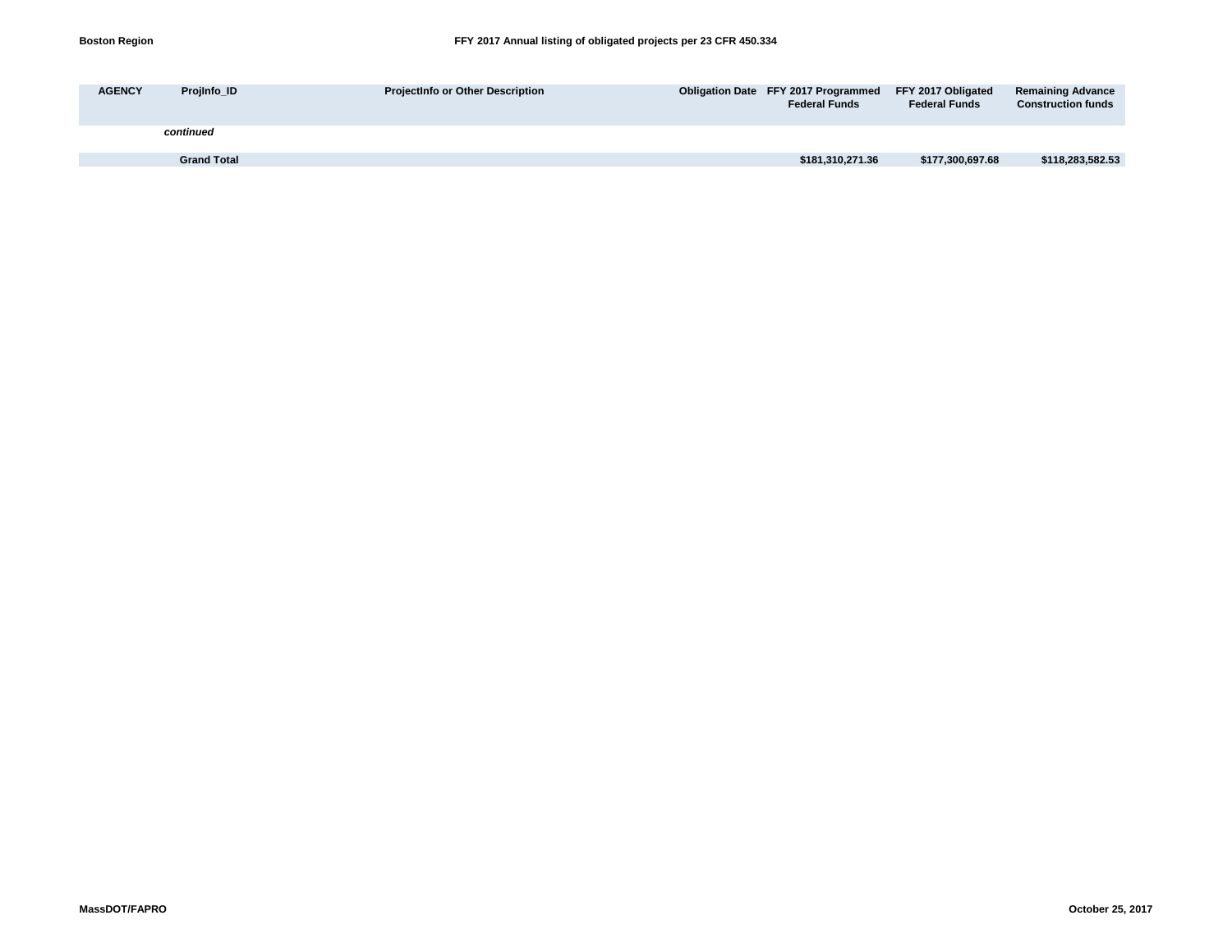| <b>AGENCY</b> | Projinfo ID        | <b>ProjectInfo or Other Description</b> | Obligation Date FFY 2017 Programmed FFY 2017 Obligated<br><b>Federal Funds</b> | <b>Federal Funds</b> | <b>Remaining Advance</b><br><b>Construction funds</b> |
|---------------|--------------------|-----------------------------------------|--------------------------------------------------------------------------------|----------------------|-------------------------------------------------------|
|               | continued          |                                         |                                                                                |                      |                                                       |
|               | <b>Grand Total</b> |                                         | \$181,310,271.36                                                               | \$177,300,697.68     | \$118,283,582.53                                      |
|               |                    |                                         |                                                                                |                      |                                                       |